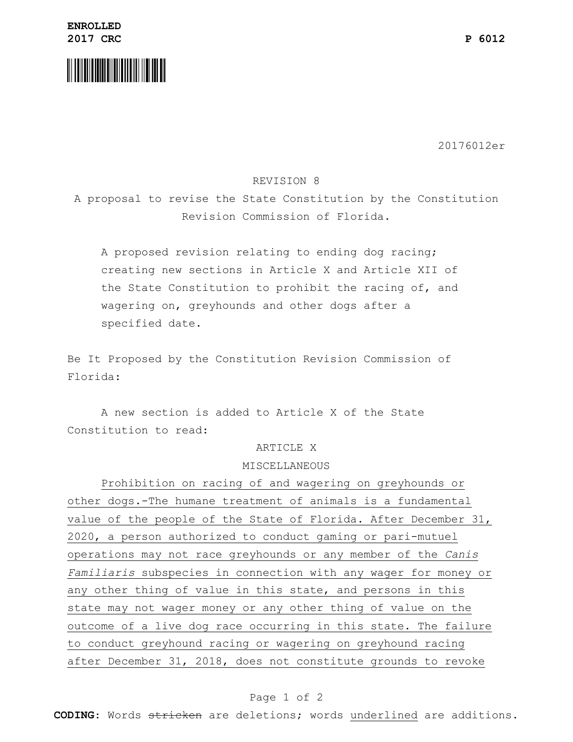

20176012er

### REVISION 8

A proposal to revise the State Constitution by the Constitution Revision Commission of Florida.

A proposed revision relating to ending dog racing; creating new sections in Article X and Article XII of the State Constitution to prohibit the racing of, and wagering on, greyhounds and other dogs after a specified date.

Be It Proposed by the Constitution Revision Commission of Florida:

A new section is added to Article X of the State Constitution to read:

#### ARTICLE X

### MISCELLANEOUS

Prohibition on racing of and wagering on greyhounds or other dogs.-The humane treatment of animals is a fundamental value of the people of the State of Florida. After December 31, 2020, a person authorized to conduct gaming or pari-mutuel operations may not race greyhounds or any member of the *Canis Familiaris* subspecies in connection with any wager for money or any other thing of value in this state, and persons in this state may not wager money or any other thing of value on the outcome of a live dog race occurring in this state. The failure to conduct greyhound racing or wagering on greyhound racing after December 31, 2018, does not constitute grounds to revoke

# Page 1 of 2

**CODING**: Words stricken are deletions; words underlined are additions.